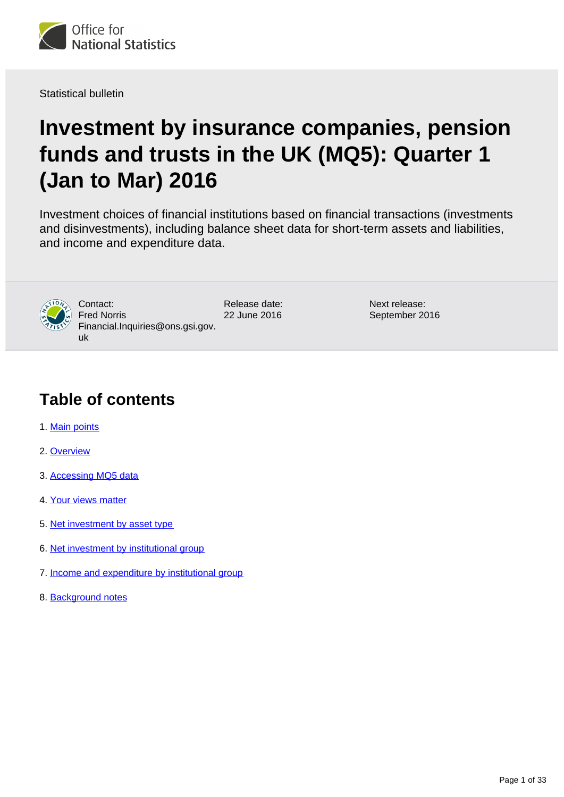

Statistical bulletin

# **Investment by insurance companies, pension funds and trusts in the UK (MQ5): Quarter 1 (Jan to Mar) 2016**

Investment choices of financial institutions based on financial transactions (investments and disinvestments), including balance sheet data for short-term assets and liabilities, and income and expenditure data.



Contact: Fred Norris Financial.Inquiries@ons.gsi.gov. uk

Release date: 22 June 2016

Next release: September 2016

## **Table of contents**

- 1. [Main points](#page-1-0)
- 2. [Overview](#page-1-1)
- 3. [Accessing MQ5 data](#page-1-2)
- 4. [Your views matter](#page-2-0)
- 5. [Net investment by asset type](#page-2-1)
- 6. [Net investment by institutional group](#page-12-0)
- 7. [Income and expenditure by institutional group](#page-20-0)
- 8. [Background notes](#page-27-0)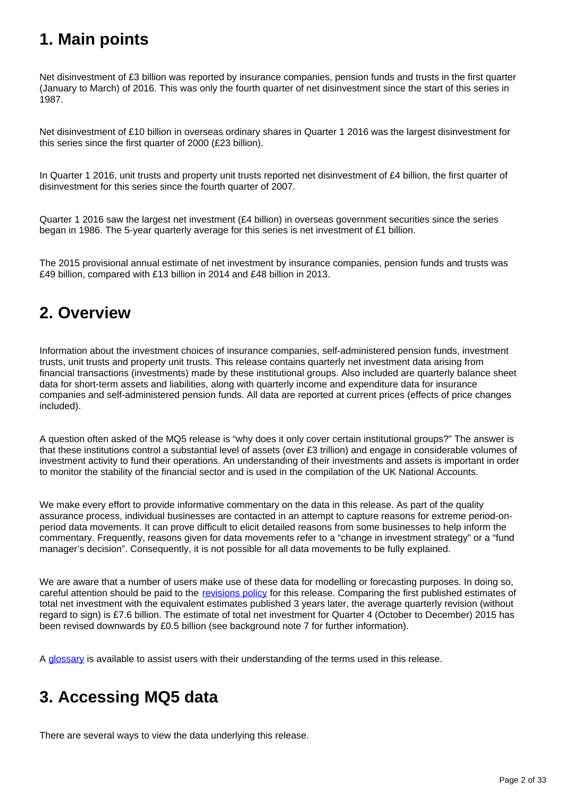## <span id="page-1-0"></span>**1. Main points**

Net disinvestment of £3 billion was reported by insurance companies, pension funds and trusts in the first quarter (January to March) of 2016. This was only the fourth quarter of net disinvestment since the start of this series in 1987.

Net disinvestment of £10 billion in overseas ordinary shares in Quarter 1 2016 was the largest disinvestment for this series since the first quarter of 2000 (£23 billion).

In Quarter 1 2016, unit trusts and property unit trusts reported net disinvestment of £4 billion, the first quarter of disinvestment for this series since the fourth quarter of 2007.

Quarter 1 2016 saw the largest net investment (£4 billion) in overseas government securities since the series began in 1986. The 5-year quarterly average for this series is net investment of £1 billion.

The 2015 provisional annual estimate of net investment by insurance companies, pension funds and trusts was £49 billion, compared with £13 billion in 2014 and £48 billion in 2013.

## <span id="page-1-1"></span>**2. Overview**

Information about the investment choices of insurance companies, self-administered pension funds, investment trusts, unit trusts and property unit trusts. This release contains quarterly net investment data arising from financial transactions (investments) made by these institutional groups. Also included are quarterly balance sheet data for short-term assets and liabilities, along with quarterly income and expenditure data for insurance companies and self-administered pension funds. All data are reported at current prices (effects of price changes included).

A question often asked of the MQ5 release is "why does it only cover certain institutional groups?" The answer is that these institutions control a substantial level of assets (over £3 trillion) and engage in considerable volumes of investment activity to fund their operations. An understanding of their investments and assets is important in order to monitor the stability of the financial sector and is used in the compilation of the UK National Accounts.

We make every effort to provide informative commentary on the data in this release. As part of the quality assurance process, individual businesses are contacted in an attempt to capture reasons for extreme period-onperiod data movements. It can prove difficult to elicit detailed reasons from some businesses to help inform the commentary. Frequently, reasons given for data movements refer to a "change in investment strategy" or a "fund manager's decision". Consequently, it is not possible for all data movements to be fully explained.

We are aware that a number of users make use of these data for modelling or forecasting purposes. In doing so, careful attention should be paid to the [revisions policy](http://www.ons.gov.uk/methodology/methodologytopicsandstatisticalconcepts/revisions/revisionspoliciesforeconomicstatistics) for this release. Comparing the first published estimates of total net investment with the equivalent estimates published 3 years later, the average quarterly revision (without regard to sign) is £7.6 billion. The estimate of total net investment for Quarter 4 (October to December) 2015 has been revised downwards by £0.5 billion (see background note 7 for further information).

A [glossary](http://www.ons.gov.uk/ons/guide-method/method-quality/specific/economy/investment-by-insurance-companies/glossary/index.html) is available to assist users with their understanding of the terms used in this release.

## <span id="page-1-2"></span>**3. Accessing MQ5 data**

There are several ways to view the data underlying this release.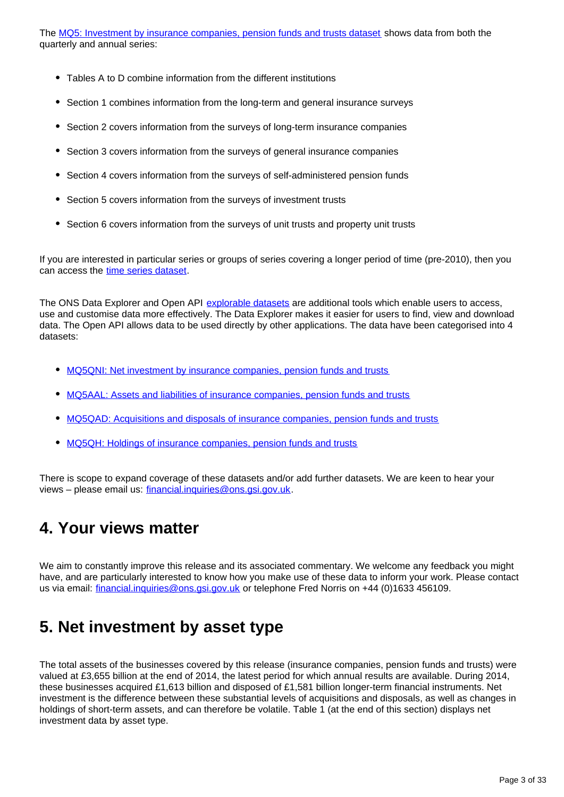The [MQ5: Investment by insurance companies, pension funds and trusts dataset](http://www.ons.gov.uk/economy/investmentspensionsandtrusts/datasets/mq5investmentbyinsurancecompaniespensionfundsandtrusts) shows data from both the quarterly and annual series:

- Tables A to D combine information from the different institutions
- Section 1 combines information from the long-term and general insurance surveys
- Section 2 covers information from the surveys of long-term insurance companies
- Section 3 covers information from the surveys of general insurance companies
- Section 4 covers information from the surveys of self-administered pension funds
- Section 5 covers information from the surveys of investment trusts
- Section 6 covers information from the surveys of unit trusts and property unit trusts

If you are interested in particular series or groups of series covering a longer period of time (pre-2010), then you can access the [time series dataset](http://www.ons.gov.uk/economy/investmentspensionsandtrusts/datasets/investmentbyinsurancecompaniespensionfundsandtrusts).

The ONS Data Explorer and Open API [explorable datasets](http://www.ons.gov.uk/economy/investmentspensionsandtrusts/datasets/mq5investmentbyinsurancecompaniespensionfundsandtrustsexplorabledatasets) are additional tools which enable users to access, use and customise data more effectively. The Data Explorer makes it easier for users to find, view and download data. The Open API allows data to be used directly by other applications. The data have been categorised into 4 datasets:

- [MQ5QNI: Net investment by insurance companies, pension funds and trusts](http://web.ons.gov.uk/ons/data/web/explorer/dataset-finder/-/q/dcDetails/Economic/MQ5QNI)
- [MQ5AAL: Assets and liabilities of insurance companies, pension funds and trusts](http://web.ons.gov.uk/ons/data/web/explorer/dataset-finder/-/q/dcDetails/Economic/MQ5AAL)
- [MQ5QAD: Acquisitions and disposals of insurance companies, pension funds and trusts](http://web.ons.gov.uk/ons/data/web/explorer/dataset-finder/-/q/dcDetails/Economic/MQ5QAD)
- [MQ5QH: Holdings of insurance companies, pension funds and trusts](http://web.ons.gov.uk/ons/data/web/explorer/dataset-finder/-/q/dcDetails/Economic/MQ5QH)

There is scope to expand coverage of these datasets and/or add further datasets. We are keen to hear your views – please email us: financial.inquiries@ons.gsi.gov.uk.

## <span id="page-2-0"></span>**4. Your views matter**

We aim to constantly improve this release and its associated commentary. We welcome any feedback you might have, and are particularly interested to know how you make use of these data to inform your work. Please contact us via email: financial.inquiries@ons.gsi.gov.uk or telephone Fred Norris on +44 (0)1633 456109.

## <span id="page-2-1"></span>**5. Net investment by asset type**

The total assets of the businesses covered by this release (insurance companies, pension funds and trusts) were valued at £3,655 billion at the end of 2014, the latest period for which annual results are available. During 2014, these businesses acquired £1,613 billion and disposed of £1,581 billion longer-term financial instruments. Net investment is the difference between these substantial levels of acquisitions and disposals, as well as changes in holdings of short-term assets, and can therefore be volatile. Table 1 (at the end of this section) displays net investment data by asset type.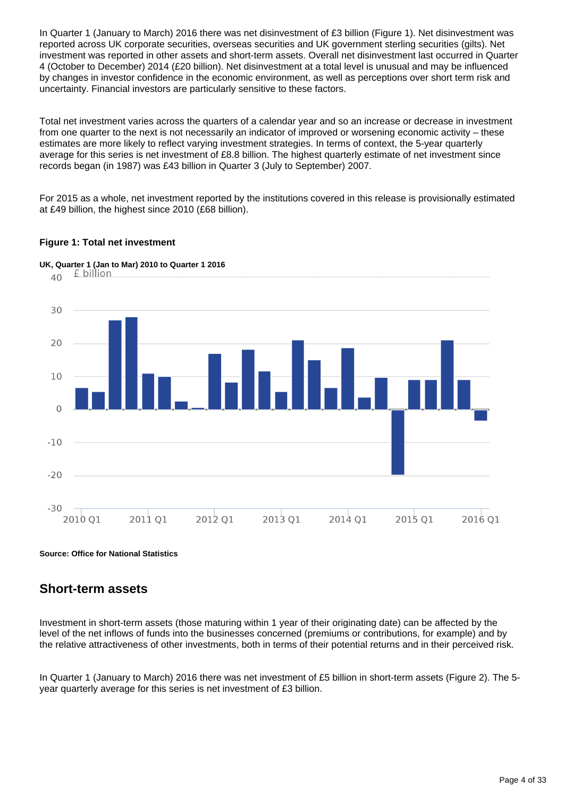In Quarter 1 (January to March) 2016 there was net disinvestment of £3 billion (Figure 1). Net disinvestment was reported across UK corporate securities, overseas securities and UK government sterling securities (gilts). Net investment was reported in other assets and short-term assets. Overall net disinvestment last occurred in Quarter 4 (October to December) 2014 (£20 billion). Net disinvestment at a total level is unusual and may be influenced by changes in investor confidence in the economic environment, as well as perceptions over short term risk and uncertainty. Financial investors are particularly sensitive to these factors.

Total net investment varies across the quarters of a calendar year and so an increase or decrease in investment from one quarter to the next is not necessarily an indicator of improved or worsening economic activity – these estimates are more likely to reflect varying investment strategies. In terms of context, the 5-year quarterly average for this series is net investment of £8.8 billion. The highest quarterly estimate of net investment since records began (in 1987) was £43 billion in Quarter 3 (July to September) 2007.

For 2015 as a whole, net investment reported by the institutions covered in this release is provisionally estimated at £49 billion, the highest since 2010 (£68 billion).

### **Figure 1: Total net investment**



**Source: Office for National Statistics**

## **Short-term assets**

Investment in short-term assets (those maturing within 1 year of their originating date) can be affected by the level of the net inflows of funds into the businesses concerned (premiums or contributions, for example) and by the relative attractiveness of other investments, both in terms of their potential returns and in their perceived risk.

In Quarter 1 (January to March) 2016 there was net investment of £5 billion in short-term assets (Figure 2). The 5 year quarterly average for this series is net investment of £3 billion.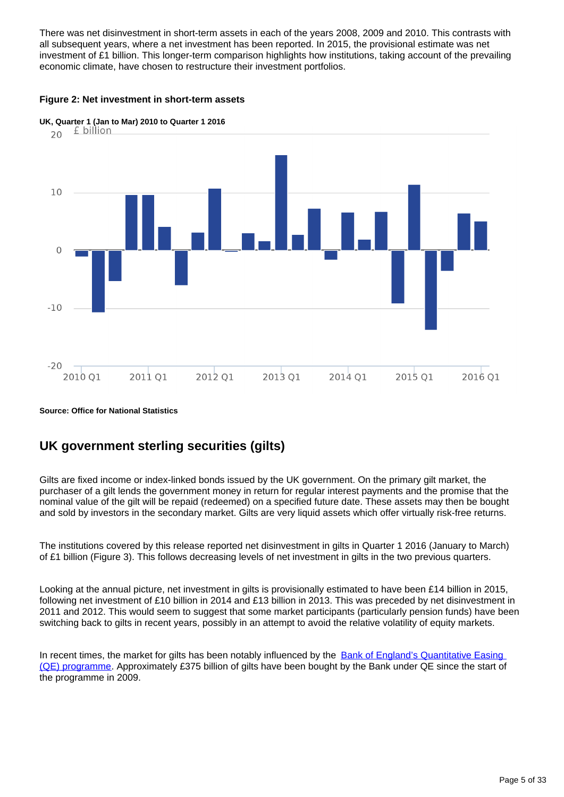There was net disinvestment in short-term assets in each of the years 2008, 2009 and 2010. This contrasts with all subsequent years, where a net investment has been reported. In 2015, the provisional estimate was net investment of £1 billion. This longer-term comparison highlights how institutions, taking account of the prevailing economic climate, have chosen to restructure their investment portfolios.

### **Figure 2: Net investment in short-term assets**



**UK, Quarter 1 (Jan to Mar) 2010 to Quarter 1 2016**

### **Source: Office for National Statistics**

## **UK government sterling securities (gilts)**

Gilts are fixed income or index-linked bonds issued by the UK government. On the primary gilt market, the purchaser of a gilt lends the government money in return for regular interest payments and the promise that the nominal value of the gilt will be repaid (redeemed) on a specified future date. These assets may then be bought and sold by investors in the secondary market. Gilts are very liquid assets which offer virtually risk-free returns.

The institutions covered by this release reported net disinvestment in gilts in Quarter 1 2016 (January to March) of £1 billion (Figure 3). This follows decreasing levels of net investment in gilts in the two previous quarters.

Looking at the annual picture, net investment in gilts is provisionally estimated to have been £14 billion in 2015, following net investment of £10 billion in 2014 and £13 billion in 2013. This was preceded by net disinvestment in 2011 and 2012. This would seem to suggest that some market participants (particularly pension funds) have been switching back to gilts in recent years, possibly in an attempt to avoid the relative volatility of equity markets.

In recent times, the market for gilts has been notably influenced by the Bank of England's Quantitative Easing [\(QE\) programme.](http://www.bankofengland.co.uk/monetarypolicy/Pages/qe/qe_faqs.aspx) Approximately £375 billion of gilts have been bought by the Bank under QE since the start of the programme in 2009.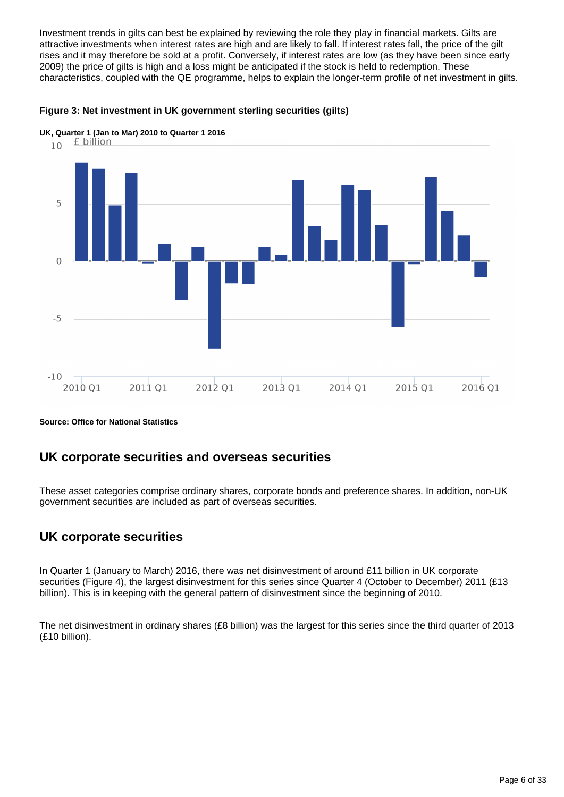Investment trends in gilts can best be explained by reviewing the role they play in financial markets. Gilts are attractive investments when interest rates are high and are likely to fall. If interest rates fall, the price of the gilt rises and it may therefore be sold at a profit. Conversely, if interest rates are low (as they have been since early 2009) the price of gilts is high and a loss might be anticipated if the stock is held to redemption. These characteristics, coupled with the QE programme, helps to explain the longer-term profile of net investment in gilts.

### **Figure 3: Net investment in UK government sterling securities (gilts)**



**UK, Quarter 1 (Jan to Mar) 2010 to Quarter 1 2016**<br>10 **f billion** 

#### **Source: Office for National Statistics**

## **UK corporate securities and overseas securities**

These asset categories comprise ordinary shares, corporate bonds and preference shares. In addition, non-UK government securities are included as part of overseas securities.

## **UK corporate securities**

In Quarter 1 (January to March) 2016, there was net disinvestment of around £11 billion in UK corporate securities (Figure 4), the largest disinvestment for this series since Quarter 4 (October to December) 2011 (£13 billion). This is in keeping with the general pattern of disinvestment since the beginning of 2010.

The net disinvestment in ordinary shares (£8 billion) was the largest for this series since the third quarter of 2013 (£10 billion).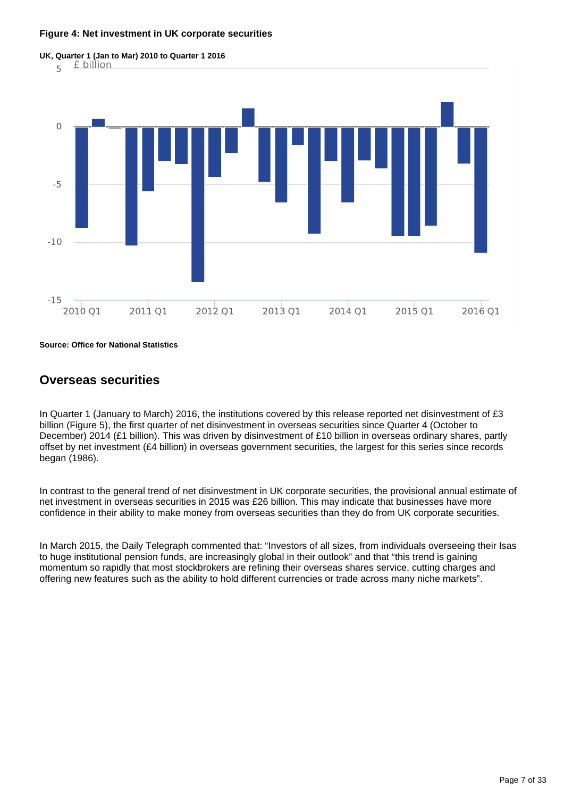#### **Figure 4: Net investment in UK corporate securities**



**Source: Office for National Statistics**

## **Overseas securities**

In Quarter 1 (January to March) 2016, the institutions covered by this release reported net disinvestment of £3 billion (Figure 5), the first quarter of net disinvestment in overseas securities since Quarter 4 (October to December) 2014 (£1 billion). This was driven by disinvestment of £10 billion in overseas ordinary shares, partly offset by net investment (£4 billion) in overseas government securities, the largest for this series since records began (1986).

In contrast to the general trend of net disinvestment in UK corporate securities, the provisional annual estimate of net investment in overseas securities in 2015 was £26 billion. This may indicate that businesses have more confidence in their ability to make money from overseas securities than they do from UK corporate securities.

In March 2015, the Daily Telegraph commented that: "Investors of all sizes, from individuals overseeing their Isas to huge institutional pension funds, are increasingly global in their outlook" and that "this trend is gaining momentum so rapidly that most stockbrokers are refining their overseas shares service, cutting charges and offering new features such as the ability to hold different currencies or trade across many niche markets".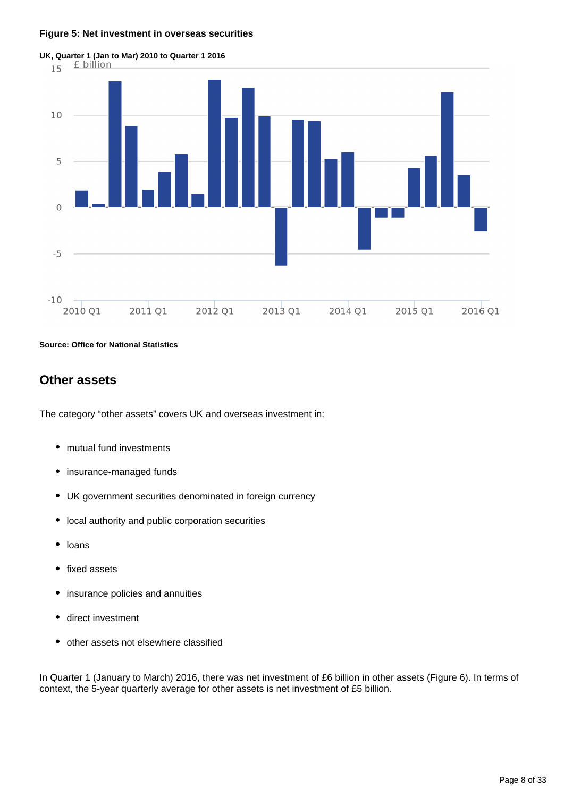#### **Figure 5: Net investment in overseas securities**



**Source: Office for National Statistics**

## **Other assets**

The category "other assets" covers UK and overseas investment in:

- mutual fund investments
- insurance-managed funds
- UK government securities denominated in foreign currency
- local authority and public corporation securities
- $\bullet$ loans
- fixed assets  $\bullet$
- insurance policies and annuities
- direct investment
- other assets not elsewhere classified

In Quarter 1 (January to March) 2016, there was net investment of £6 billion in other assets (Figure 6). In terms of context, the 5-year quarterly average for other assets is net investment of £5 billion.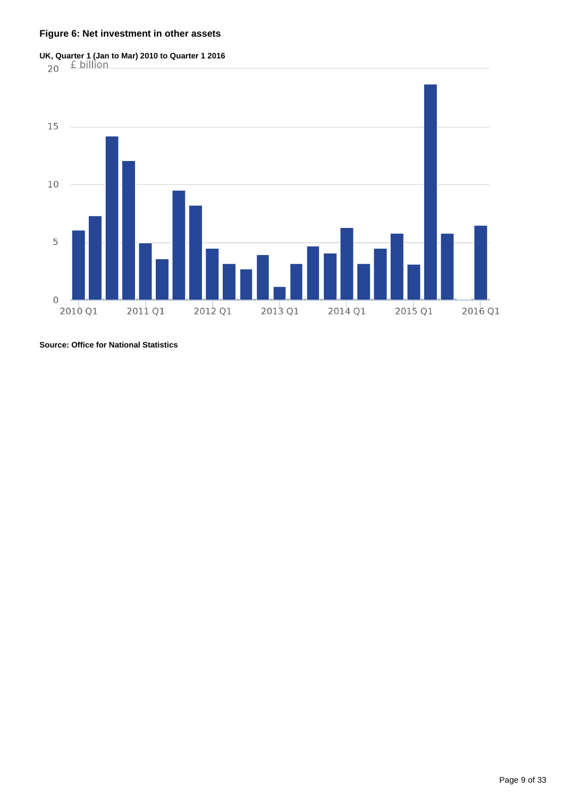### **Figure 6: Net investment in other assets**





**Source: Office for National Statistics**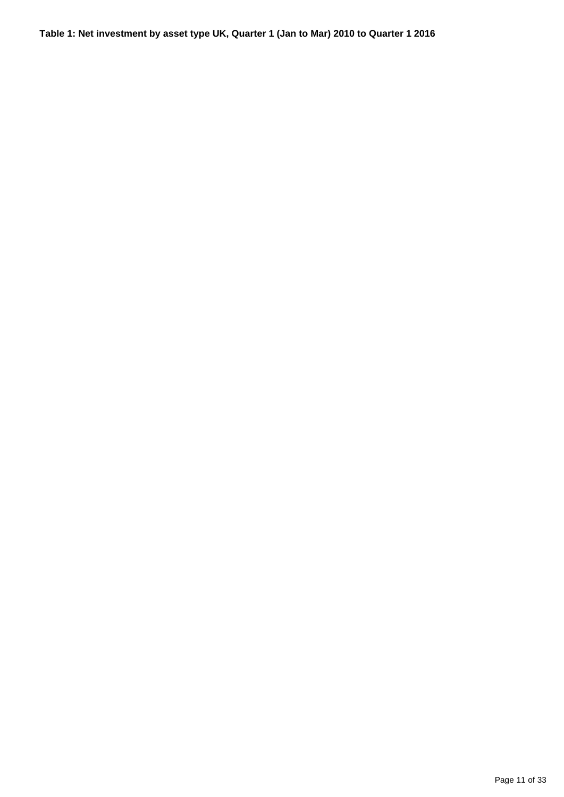## **Table 1: Net investment by asset type UK, Quarter 1 (Jan to Mar) 2010 to Quarter 1 2016**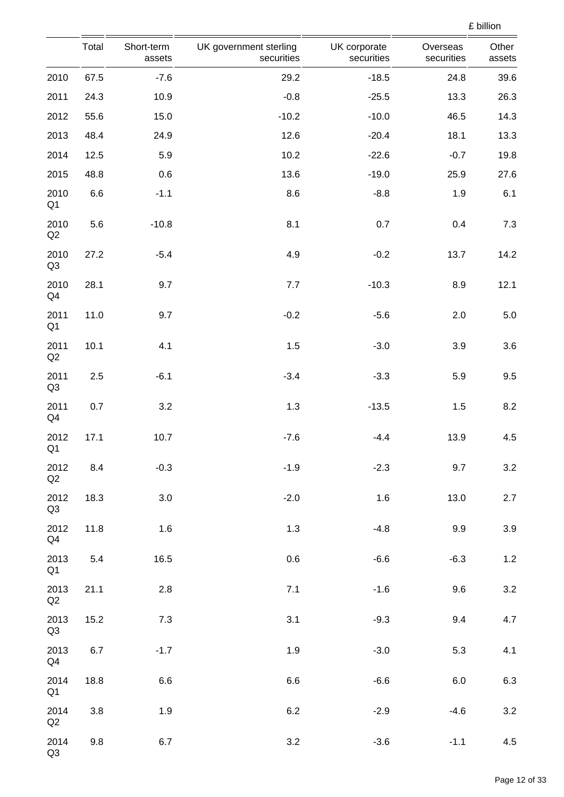|                        | Total   | Short-term<br>assets | UK government sterling<br>securities | UK corporate<br>securities | Overseas<br>securities | Other<br>assets |
|------------------------|---------|----------------------|--------------------------------------|----------------------------|------------------------|-----------------|
| 2010                   | 67.5    | $-7.6$               | 29.2                                 | $-18.5$                    | 24.8                   | 39.6            |
| 2011                   | 24.3    | 10.9                 | $-0.8$                               | $-25.5$                    | 13.3                   | 26.3            |
| 2012                   | 55.6    | 15.0                 | $-10.2$                              | $-10.0$                    | 46.5                   | 14.3            |
| 2013                   | 48.4    | 24.9                 | 12.6                                 | $-20.4$                    | 18.1                   | 13.3            |
| 2014                   | 12.5    | 5.9                  | 10.2                                 | $-22.6$                    | $-0.7$                 | 19.8            |
| 2015                   | 48.8    | 0.6                  | 13.6                                 | $-19.0$                    | 25.9                   | 27.6            |
| 2010<br>Q <sub>1</sub> | $6.6\,$ | $-1.1$               | 8.6                                  | $-8.8$                     | 1.9                    | 6.1             |
| 2010<br>Q2             | 5.6     | $-10.8$              | 8.1                                  | 0.7                        | 0.4                    | 7.3             |
| 2010<br>Q <sub>3</sub> | 27.2    | $-5.4$               | 4.9                                  | $-0.2$                     | 13.7                   | 14.2            |
| 2010<br>Q4             | 28.1    | 9.7                  | 7.7                                  | $-10.3$                    | 8.9                    | 12.1            |
| 2011<br>Q <sub>1</sub> | 11.0    | 9.7                  | $-0.2$                               | $-5.6$                     | 2.0                    | $5.0\,$         |
| 2011<br>Q2             | 10.1    | 4.1                  | 1.5                                  | $-3.0$                     | 3.9                    | 3.6             |
| 2011<br>Q <sub>3</sub> | 2.5     | $-6.1$               | $-3.4$                               | $-3.3$                     | 5.9                    | 9.5             |
| 2011<br>Q4             | 0.7     | 3.2                  | 1.3                                  | $-13.5$                    | 1.5                    | 8.2             |
| 2012<br>Q <sub>1</sub> | 17.1    | 10.7                 | $-7.6$                               | $-4.4$                     | 13.9                   | 4.5             |
| 2012<br>$\mathsf{Q2}$  | 8.4     | $-0.3$               | $-1.9$                               | $-2.3$                     | 9.7                    | 3.2             |
| 2012<br>Q3             | 18.3    | 3.0                  | $-2.0$                               | 1.6                        | 13.0                   | 2.7             |
| 2012<br>Q4             | 11.8    | 1.6                  | 1.3                                  | $-4.8$                     | 9.9                    | 3.9             |
| 2013<br>Q <sub>1</sub> | 5.4     | 16.5                 | $0.6\,$                              | $-6.6$                     | $-6.3$                 | 1.2             |
| 2013<br>Q2             | 21.1    | 2.8                  | 7.1                                  | $-1.6$                     | 9.6                    | $3.2\,$         |
| 2013<br>Q3             | 15.2    | 7.3                  | 3.1                                  | $-9.3$                     | 9.4                    | 4.7             |
| 2013<br>Q4             | 6.7     | $-1.7$               | 1.9                                  | $-3.0$                     | 5.3                    | 4.1             |
| 2014<br>Q <sub>1</sub> | 18.8    | 6.6                  | 6.6                                  | $-6.6$                     | 6.0                    | 6.3             |
| 2014<br>Q2             | 3.8     | 1.9                  | $6.2\,$                              | $-2.9$                     | $-4.6$                 | 3.2             |
| 2014<br>Q3             | 9.8     | 6.7                  | 3.2                                  | $-3.6$                     | $-1.1$                 | 4.5             |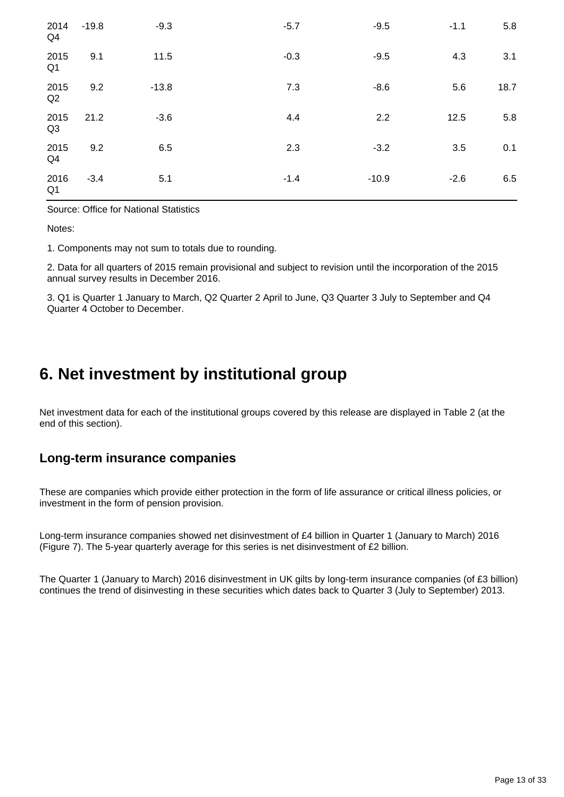| 2014<br>Q <sub>4</sub> | $-19.8$ | $-9.3$  | $-5.7$ | $-9.5$  | $-1.1$ | 5.8  |
|------------------------|---------|---------|--------|---------|--------|------|
| 2015<br>Q <sub>1</sub> | 9.1     | 11.5    | $-0.3$ | $-9.5$  | 4.3    | 3.1  |
| 2015<br>Q2             | 9.2     | $-13.8$ | 7.3    | $-8.6$  | 5.6    | 18.7 |
| 2015<br>Q <sub>3</sub> | 21.2    | $-3.6$  | 4.4    | 2.2     | 12.5   | 5.8  |
| 2015<br>Q <sub>4</sub> | 9.2     | 6.5     | 2.3    | $-3.2$  | 3.5    | 0.1  |
| 2016<br>Q <sub>1</sub> | $-3.4$  | 5.1     | $-1.4$ | $-10.9$ | $-2.6$ | 6.5  |

Source: Office for National Statistics

Notes:

1. Components may not sum to totals due to rounding.

2. Data for all quarters of 2015 remain provisional and subject to revision until the incorporation of the 2015 annual survey results in December 2016.

3. Q1 is Quarter 1 January to March, Q2 Quarter 2 April to June, Q3 Quarter 3 July to September and Q4 Quarter 4 October to December.

## <span id="page-12-0"></span>**6. Net investment by institutional group**

Net investment data for each of the institutional groups covered by this release are displayed in Table 2 (at the end of this section).

## **Long-term insurance companies**

These are companies which provide either protection in the form of life assurance or critical illness policies, or investment in the form of pension provision.

Long-term insurance companies showed net disinvestment of £4 billion in Quarter 1 (January to March) 2016 (Figure 7). The 5-year quarterly average for this series is net disinvestment of £2 billion.

The Quarter 1 (January to March) 2016 disinvestment in UK gilts by long-term insurance companies (of £3 billion) continues the trend of disinvesting in these securities which dates back to Quarter 3 (July to September) 2013.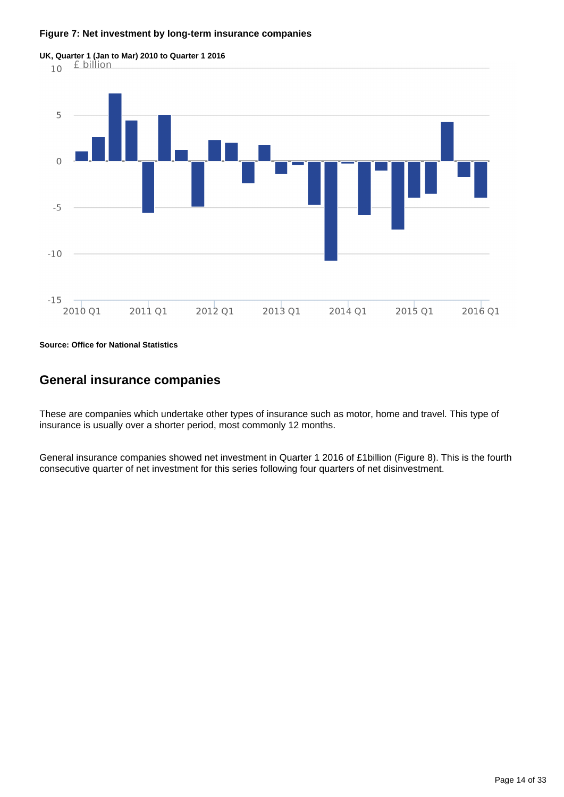#### **Figure 7: Net investment by long-term insurance companies**



**Source: Office for National Statistics**

## **General insurance companies**

These are companies which undertake other types of insurance such as motor, home and travel. This type of insurance is usually over a shorter period, most commonly 12 months.

General insurance companies showed net investment in Quarter 1 2016 of £1billion (Figure 8). This is the fourth consecutive quarter of net investment for this series following four quarters of net disinvestment.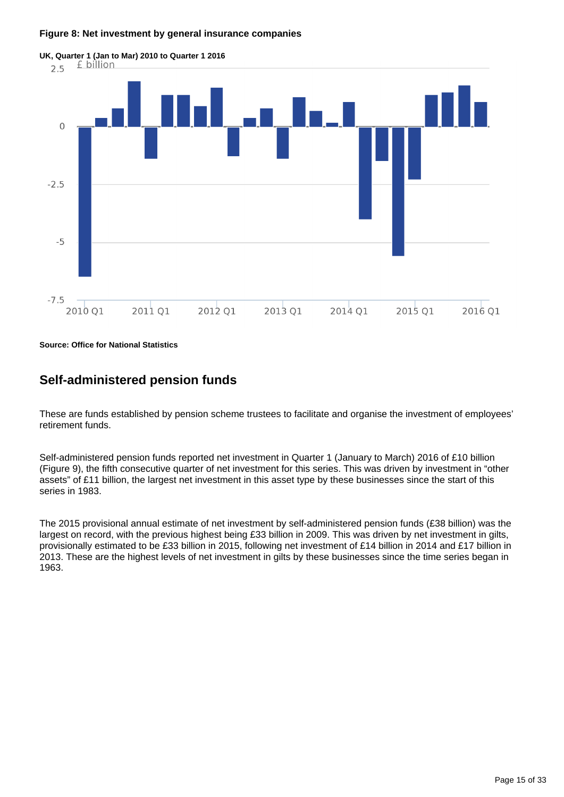#### **Figure 8: Net investment by general insurance companies**



**Source: Office for National Statistics**

## **Self-administered pension funds**

These are funds established by pension scheme trustees to facilitate and organise the investment of employees' retirement funds.

Self-administered pension funds reported net investment in Quarter 1 (January to March) 2016 of £10 billion (Figure 9), the fifth consecutive quarter of net investment for this series. This was driven by investment in "other assets" of £11 billion, the largest net investment in this asset type by these businesses since the start of this series in 1983.

The 2015 provisional annual estimate of net investment by self-administered pension funds (£38 billion) was the largest on record, with the previous highest being £33 billion in 2009. This was driven by net investment in gilts, provisionally estimated to be £33 billion in 2015, following net investment of £14 billion in 2014 and £17 billion in 2013. These are the highest levels of net investment in gilts by these businesses since the time series began in 1963.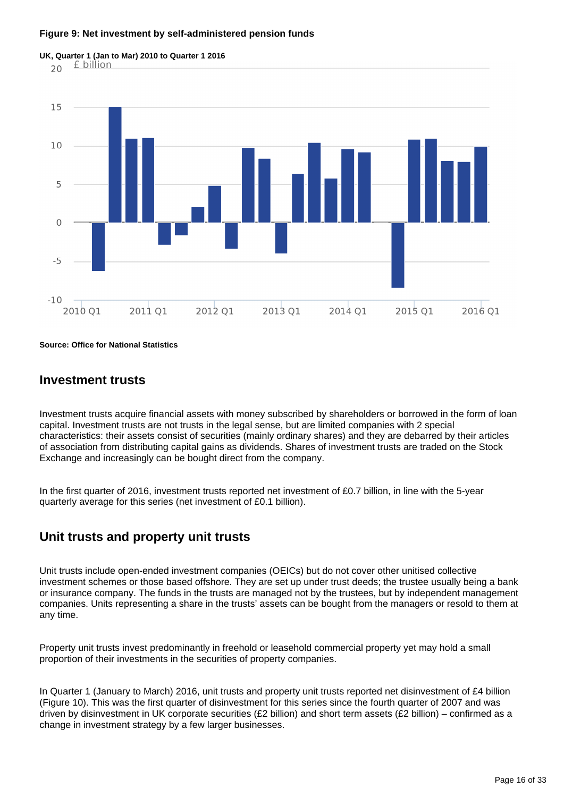#### **Figure 9: Net investment by self-administered pension funds**



**Source: Office for National Statistics**

### **Investment trusts**

Investment trusts acquire financial assets with money subscribed by shareholders or borrowed in the form of loan capital. Investment trusts are not trusts in the legal sense, but are limited companies with 2 special characteristics: their assets consist of securities (mainly ordinary shares) and they are debarred by their articles of association from distributing capital gains as dividends. Shares of investment trusts are traded on the Stock Exchange and increasingly can be bought direct from the company.

In the first quarter of 2016, investment trusts reported net investment of £0.7 billion, in line with the 5-year quarterly average for this series (net investment of £0.1 billion).

### **Unit trusts and property unit trusts**

Unit trusts include open-ended investment companies (OEICs) but do not cover other unitised collective investment schemes or those based offshore. They are set up under trust deeds; the trustee usually being a bank or insurance company. The funds in the trusts are managed not by the trustees, but by independent management companies. Units representing a share in the trusts' assets can be bought from the managers or resold to them at any time.

Property unit trusts invest predominantly in freehold or leasehold commercial property yet may hold a small proportion of their investments in the securities of property companies.

In Quarter 1 (January to March) 2016, unit trusts and property unit trusts reported net disinvestment of £4 billion (Figure 10). This was the first quarter of disinvestment for this series since the fourth quarter of 2007 and was driven by disinvestment in UK corporate securities (£2 billion) and short term assets (£2 billion) – confirmed as a change in investment strategy by a few larger businesses.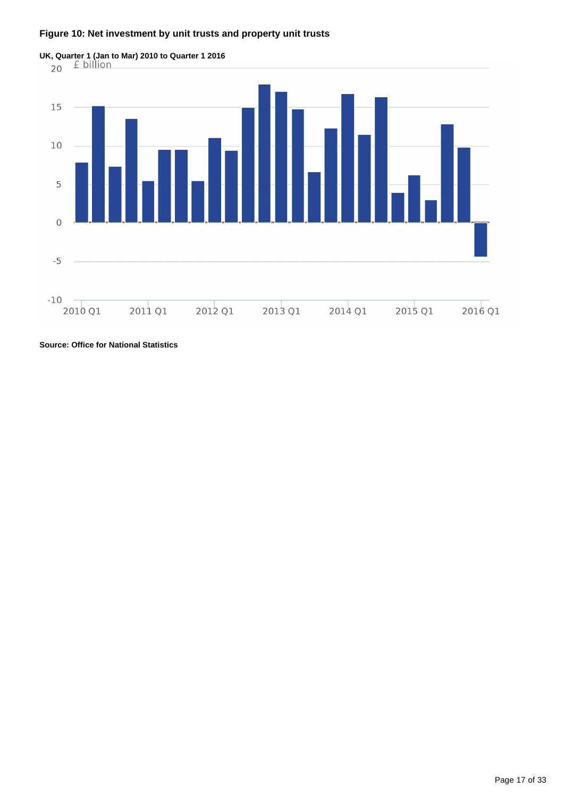### **Figure 10: Net investment by unit trusts and property unit trusts**



**Source: Office for National Statistics**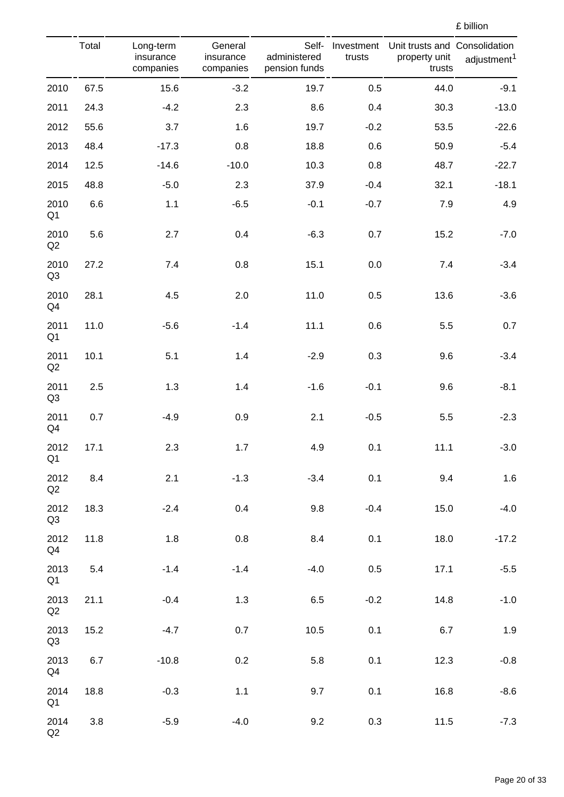|  | ${\tt f}$ billion |
|--|-------------------|

|                        | Total | Long-term<br>insurance<br>companies | General<br>insurance<br>companies | Self-<br>administered<br>pension funds | Investment<br>trusts | Unit trusts and Consolidation<br>property unit<br>trusts | adjustment <sup>1</sup> |
|------------------------|-------|-------------------------------------|-----------------------------------|----------------------------------------|----------------------|----------------------------------------------------------|-------------------------|
| 2010                   | 67.5  | 15.6                                | $-3.2$                            | 19.7                                   | 0.5                  | 44.0                                                     | $-9.1$                  |
| 2011                   | 24.3  | $-4.2$                              | 2.3                               | 8.6                                    | 0.4                  | 30.3                                                     | $-13.0$                 |
| 2012                   | 55.6  | 3.7                                 | 1.6                               | 19.7                                   | $-0.2$               | 53.5                                                     | $-22.6$                 |
| 2013                   | 48.4  | $-17.3$                             | 0.8                               | 18.8                                   | 0.6                  | 50.9                                                     | $-5.4$                  |
| 2014                   | 12.5  | $-14.6$                             | $-10.0$                           | 10.3                                   | 0.8                  | 48.7                                                     | $-22.7$                 |
| 2015                   | 48.8  | $-5.0$                              | 2.3                               | 37.9                                   | $-0.4$               | 32.1                                                     | $-18.1$                 |
| 2010<br>Q <sub>1</sub> | 6.6   | $1.1$                               | $-6.5$                            | $-0.1$                                 | $-0.7$               | 7.9                                                      | 4.9                     |
| 2010<br>Q2             | 5.6   | 2.7                                 | 0.4                               | $-6.3$                                 | 0.7                  | 15.2                                                     | $-7.0$                  |
| 2010<br>Q <sub>3</sub> | 27.2  | 7.4                                 | 0.8                               | 15.1                                   | 0.0                  | 7.4                                                      | $-3.4$                  |
| 2010<br>Q4             | 28.1  | 4.5                                 | 2.0                               | 11.0                                   | 0.5                  | 13.6                                                     | $-3.6$                  |
| 2011<br>Q <sub>1</sub> | 11.0  | $-5.6$                              | $-1.4$                            | 11.1                                   | 0.6                  | 5.5                                                      | 0.7                     |
| 2011<br>$\mathsf{Q2}$  | 10.1  | 5.1                                 | 1.4                               | $-2.9$                                 | 0.3                  | 9.6                                                      | $-3.4$                  |
| 2011<br>Q <sub>3</sub> | 2.5   | 1.3                                 | 1.4                               | $-1.6$                                 | $-0.1$               | 9.6                                                      | $-8.1$                  |
| 2011<br>Q4             | 0.7   | $-4.9$                              | 0.9                               | 2.1                                    | $-0.5$               | 5.5                                                      | $-2.3$                  |
| 2012<br>Q <sub>1</sub> | 17.1  | 2.3                                 | 1.7                               | 4.9                                    | 0.1                  | 11.1                                                     | $-3.0$                  |
| 2012<br>Q2             | 8.4   | 2.1                                 | $-1.3$                            | $-3.4$                                 | 0.1                  | 9.4                                                      | 1.6                     |
| 2012<br>Q3             | 18.3  | $-2.4$                              | 0.4                               | 9.8                                    | $-0.4$               | 15.0                                                     | $-4.0$                  |
| 2012<br>Q4             | 11.8  | 1.8                                 | 0.8                               | 8.4                                    | 0.1                  | 18.0                                                     | $-17.2$                 |
| 2013<br>Q <sub>1</sub> | 5.4   | $-1.4$                              | $-1.4$                            | $-4.0$                                 | 0.5                  | 17.1                                                     | $-5.5$                  |
| 2013<br>Q2             | 21.1  | $-0.4$                              | 1.3                               | 6.5                                    | $-0.2$               | 14.8                                                     | $-1.0$                  |
| 2013<br>Q3             | 15.2  | $-4.7$                              | 0.7                               | 10.5                                   | 0.1                  | 6.7                                                      | 1.9                     |
| 2013<br>Q4             | 6.7   | $-10.8$                             | 0.2                               | 5.8                                    | 0.1                  | 12.3                                                     | $-0.8$                  |
| 2014<br>Q <sub>1</sub> | 18.8  | $-0.3$                              | $1.1$                             | 9.7                                    | 0.1                  | 16.8                                                     | $-8.6$                  |
| 2014<br>Q2             | 3.8   | $-5.9$                              | $-4.0$                            | 9.2                                    | 0.3                  | 11.5                                                     | $-7.3$                  |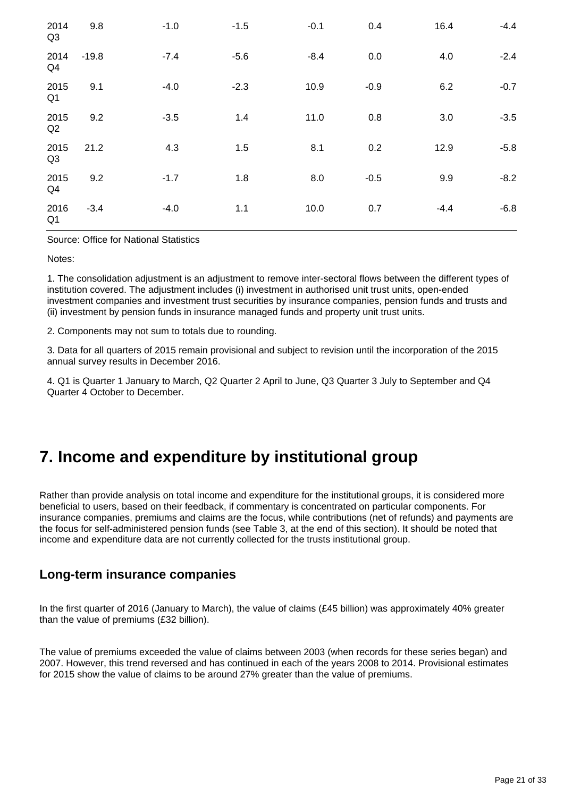| 2014<br>Q3             | 9.8     | $-1.0$ | $-1.5$ | $-0.1$ | 0.4    | 16.4   | $-4.4$ |
|------------------------|---------|--------|--------|--------|--------|--------|--------|
| 2014<br>Q4             | $-19.8$ | $-7.4$ | $-5.6$ | $-8.4$ | 0.0    | 4.0    | $-2.4$ |
| 2015<br>Q <sub>1</sub> | 9.1     | $-4.0$ | $-2.3$ | 10.9   | $-0.9$ | 6.2    | $-0.7$ |
| 2015<br>Q2             | 9.2     | $-3.5$ | 1.4    | 11.0   | 0.8    | 3.0    | $-3.5$ |
| 2015<br>Q3             | 21.2    | 4.3    | 1.5    | 8.1    | 0.2    | 12.9   | $-5.8$ |
| 2015<br>Q4             | 9.2     | $-1.7$ | 1.8    | 8.0    | $-0.5$ | 9.9    | $-8.2$ |
| 2016<br>Q <sub>1</sub> | $-3.4$  | $-4.0$ | 1.1    | 10.0   | 0.7    | $-4.4$ | $-6.8$ |

Source: Office for National Statistics

Notes:

1. The consolidation adjustment is an adjustment to remove inter-sectoral flows between the different types of institution covered. The adjustment includes (i) investment in authorised unit trust units, open-ended investment companies and investment trust securities by insurance companies, pension funds and trusts and (ii) investment by pension funds in insurance managed funds and property unit trust units.

2. Components may not sum to totals due to rounding.

3. Data for all quarters of 2015 remain provisional and subject to revision until the incorporation of the 2015 annual survey results in December 2016.

4. Q1 is Quarter 1 January to March, Q2 Quarter 2 April to June, Q3 Quarter 3 July to September and Q4 Quarter 4 October to December.

## <span id="page-20-0"></span>**7. Income and expenditure by institutional group**

Rather than provide analysis on total income and expenditure for the institutional groups, it is considered more beneficial to users, based on their feedback, if commentary is concentrated on particular components. For insurance companies, premiums and claims are the focus, while contributions (net of refunds) and payments are the focus for self-administered pension funds (see Table 3, at the end of this section). It should be noted that income and expenditure data are not currently collected for the trusts institutional group.

## **Long-term insurance companies**

In the first quarter of 2016 (January to March), the value of claims (£45 billion) was approximately 40% greater than the value of premiums (£32 billion).

The value of premiums exceeded the value of claims between 2003 (when records for these series began) and 2007. However, this trend reversed and has continued in each of the years 2008 to 2014. Provisional estimates for 2015 show the value of claims to be around 27% greater than the value of premiums.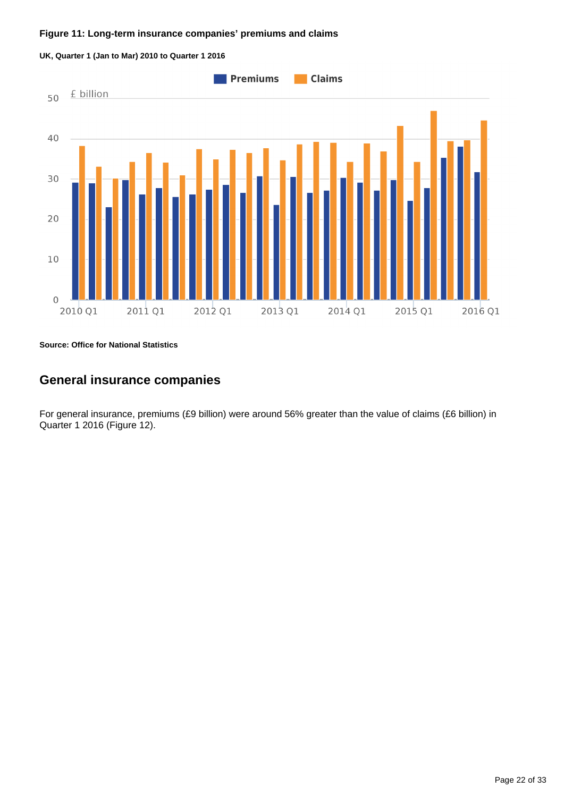#### **Figure 11: Long-term insurance companies' premiums and claims**



**UK, Quarter 1 (Jan to Mar) 2010 to Quarter 1 2016**

**Source: Office for National Statistics**

## **General insurance companies**

For general insurance, premiums (£9 billion) were around 56% greater than the value of claims (£6 billion) in Quarter 1 2016 (Figure 12).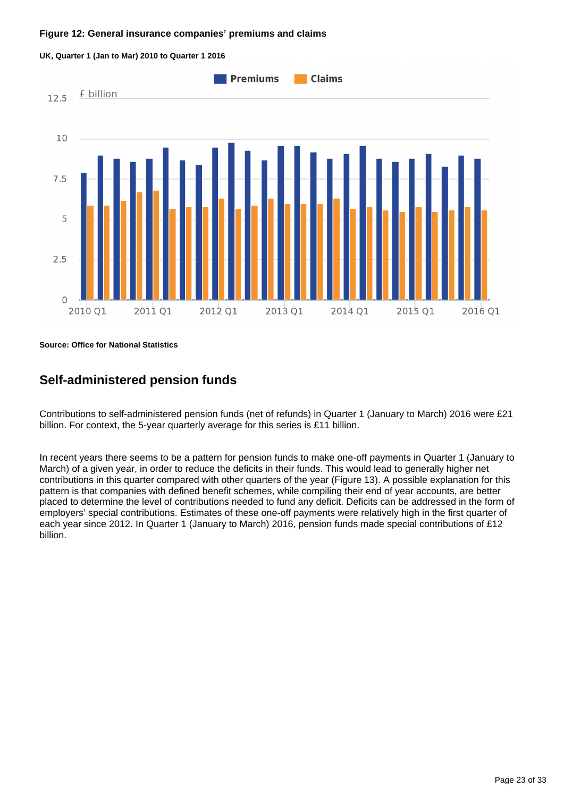#### **Figure 12: General insurance companies' premiums and claims**



**UK, Quarter 1 (Jan to Mar) 2010 to Quarter 1 2016**

**Source: Office for National Statistics**

## **Self-administered pension funds**

Contributions to self-administered pension funds (net of refunds) in Quarter 1 (January to March) 2016 were £21 billion. For context, the 5-year quarterly average for this series is £11 billion.

In recent years there seems to be a pattern for pension funds to make one-off payments in Quarter 1 (January to March) of a given year, in order to reduce the deficits in their funds. This would lead to generally higher net contributions in this quarter compared with other quarters of the year (Figure 13). A possible explanation for this pattern is that companies with defined benefit schemes, while compiling their end of year accounts, are better placed to determine the level of contributions needed to fund any deficit. Deficits can be addressed in the form of employers' special contributions. Estimates of these one-off payments were relatively high in the first quarter of each year since 2012. In Quarter 1 (January to March) 2016, pension funds made special contributions of £12 billion.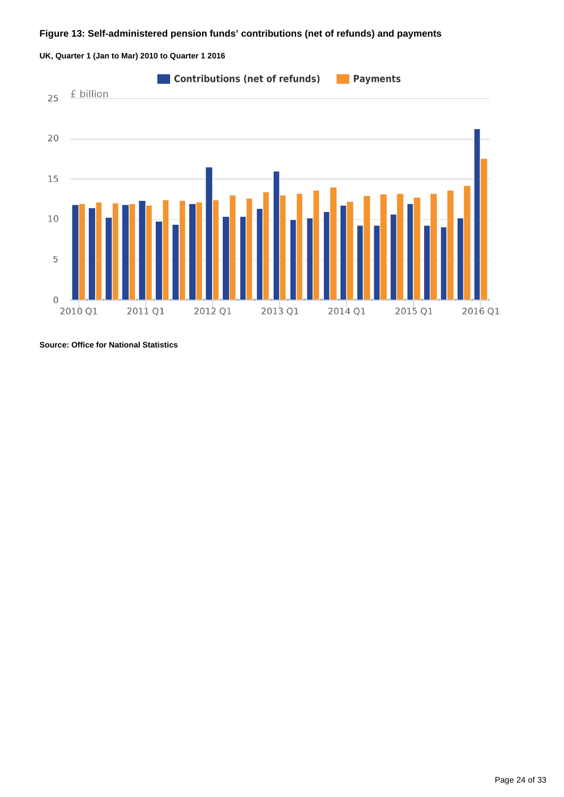### **Figure 13: Self-administered pension funds' contributions (net of refunds) and payments**





**Source: Office for National Statistics**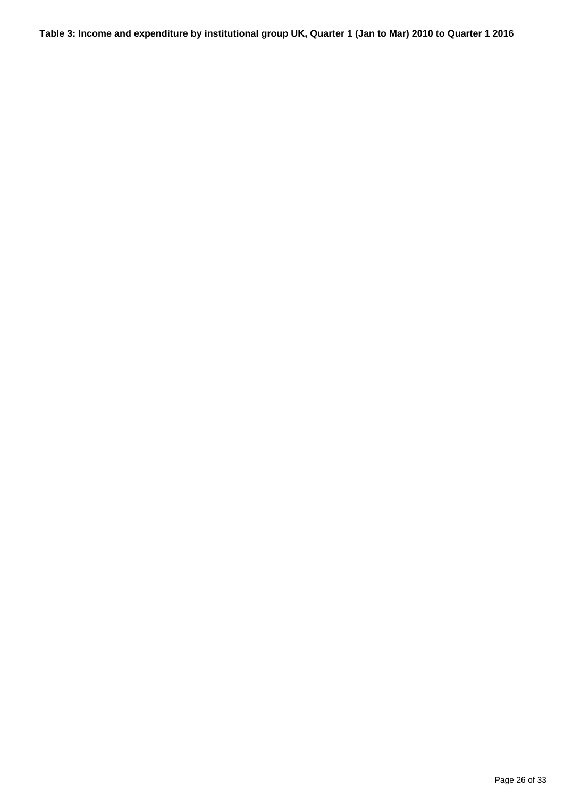**Table 3: Income and expenditure by institutional group UK, Quarter 1 (Jan to Mar) 2010 to Quarter 1 2016**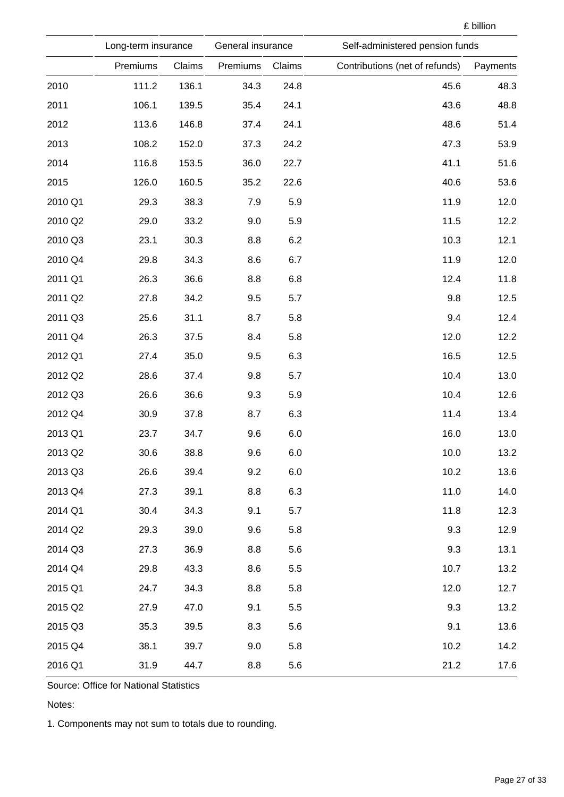|         | Long-term insurance |        | General insurance |        | Self-administered pension funds |          |
|---------|---------------------|--------|-------------------|--------|---------------------------------|----------|
|         | Premiums            | Claims | Premiums          | Claims | Contributions (net of refunds)  | Payments |
| 2010    | 111.2               | 136.1  | 34.3              | 24.8   | 45.6                            | 48.3     |
| 2011    | 106.1               | 139.5  | 35.4              | 24.1   | 43.6                            | 48.8     |
| 2012    | 113.6               | 146.8  | 37.4              | 24.1   | 48.6                            | 51.4     |
| 2013    | 108.2               | 152.0  | 37.3              | 24.2   | 47.3                            | 53.9     |
| 2014    | 116.8               | 153.5  | 36.0              | 22.7   | 41.1                            | 51.6     |
| 2015    | 126.0               | 160.5  | 35.2              | 22.6   | 40.6                            | 53.6     |
| 2010 Q1 | 29.3                | 38.3   | 7.9               | 5.9    | 11.9                            | 12.0     |
| 2010 Q2 | 29.0                | 33.2   | 9.0               | 5.9    | 11.5                            | 12.2     |
| 2010 Q3 | 23.1                | 30.3   | 8.8               | 6.2    | 10.3                            | 12.1     |
| 2010 Q4 | 29.8                | 34.3   | 8.6               | 6.7    | 11.9                            | 12.0     |
| 2011 Q1 | 26.3                | 36.6   | 8.8               | 6.8    | 12.4                            | 11.8     |
| 2011 Q2 | 27.8                | 34.2   | 9.5               | 5.7    | 9.8                             | 12.5     |
| 2011 Q3 | 25.6                | 31.1   | 8.7               | 5.8    | 9.4                             | 12.4     |
| 2011 Q4 | 26.3                | 37.5   | 8.4               | 5.8    | 12.0                            | 12.2     |
| 2012 Q1 | 27.4                | 35.0   | 9.5               | 6.3    | 16.5                            | 12.5     |
| 2012 Q2 | 28.6                | 37.4   | 9.8               | 5.7    | 10.4                            | 13.0     |
| 2012 Q3 | 26.6                | 36.6   | 9.3               | 5.9    | 10.4                            | 12.6     |
| 2012 Q4 | 30.9                | 37.8   | 8.7               | 6.3    | 11.4                            | 13.4     |
| 2013 Q1 | 23.7                | 34.7   | 9.6               | 6.0    | 16.0                            | 13.0     |
| 2013 Q2 | 30.6                | 38.8   | 9.6               | 6.0    | 10.0                            | 13.2     |
| 2013 Q3 | 26.6                | 39.4   | 9.2               | 6.0    | 10.2                            | 13.6     |
| 2013 Q4 | 27.3                | 39.1   | 8.8               | 6.3    | 11.0                            | 14.0     |
| 2014 Q1 | 30.4                | 34.3   | 9.1               | 5.7    | 11.8                            | 12.3     |
| 2014 Q2 | 29.3                | 39.0   | 9.6               | 5.8    | 9.3                             | 12.9     |
| 2014 Q3 | 27.3                | 36.9   | 8.8               | 5.6    | 9.3                             | 13.1     |
| 2014 Q4 | 29.8                | 43.3   | 8.6               | 5.5    | 10.7                            | 13.2     |
| 2015 Q1 | 24.7                | 34.3   | 8.8               | 5.8    | 12.0                            | 12.7     |
| 2015 Q2 | 27.9                | 47.0   | 9.1               | 5.5    | 9.3                             | 13.2     |
| 2015 Q3 | 35.3                | 39.5   | 8.3               | 5.6    | 9.1                             | 13.6     |
| 2015 Q4 | 38.1                | 39.7   | 9.0               | 5.8    | 10.2                            | 14.2     |
| 2016 Q1 | 31.9                | 44.7   | 8.8               | 5.6    | 21.2                            | 17.6     |

Source: Office for National Statistics

Notes:

1. Components may not sum to totals due to rounding.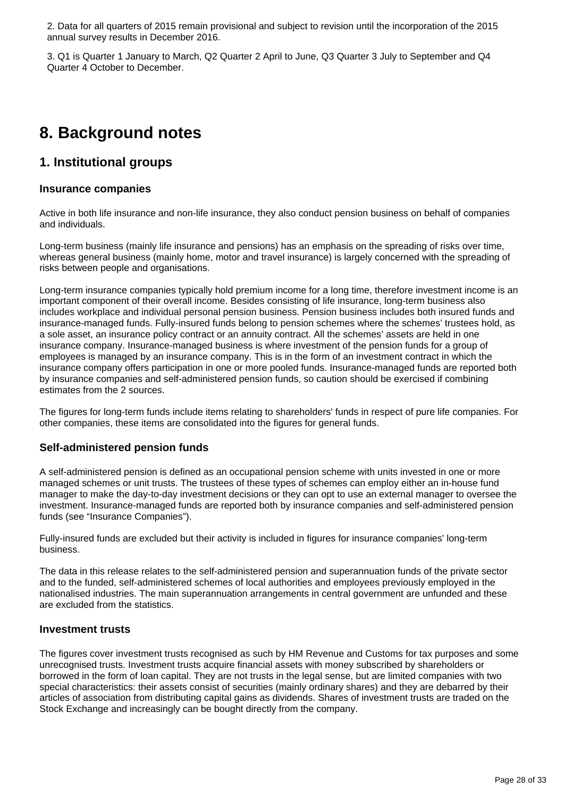2. Data for all quarters of 2015 remain provisional and subject to revision until the incorporation of the 2015 annual survey results in December 2016.

3. Q1 is Quarter 1 January to March, Q2 Quarter 2 April to June, Q3 Quarter 3 July to September and Q4 Quarter 4 October to December.

## <span id="page-27-0"></span>**8. Background notes**

### **1. Institutional groups**

### **Insurance companies**

Active in both life insurance and non-life insurance, they also conduct pension business on behalf of companies and individuals.

Long-term business (mainly life insurance and pensions) has an emphasis on the spreading of risks over time, whereas general business (mainly home, motor and travel insurance) is largely concerned with the spreading of risks between people and organisations.

Long-term insurance companies typically hold premium income for a long time, therefore investment income is an important component of their overall income. Besides consisting of life insurance, long-term business also includes workplace and individual personal pension business. Pension business includes both insured funds and insurance-managed funds. Fully-insured funds belong to pension schemes where the schemes' trustees hold, as a sole asset, an insurance policy contract or an annuity contract. All the schemes' assets are held in one insurance company. Insurance-managed business is where investment of the pension funds for a group of employees is managed by an insurance company. This is in the form of an investment contract in which the insurance company offers participation in one or more pooled funds. Insurance-managed funds are reported both by insurance companies and self-administered pension funds, so caution should be exercised if combining estimates from the 2 sources.

The figures for long-term funds include items relating to shareholders' funds in respect of pure life companies. For other companies, these items are consolidated into the figures for general funds.

### **Self-administered pension funds**

A self-administered pension is defined as an occupational pension scheme with units invested in one or more managed schemes or unit trusts. The trustees of these types of schemes can employ either an in-house fund manager to make the day-to-day investment decisions or they can opt to use an external manager to oversee the investment. Insurance-managed funds are reported both by insurance companies and self-administered pension funds (see "Insurance Companies").

Fully-insured funds are excluded but their activity is included in figures for insurance companies' long-term business.

The data in this release relates to the self-administered pension and superannuation funds of the private sector and to the funded, self-administered schemes of local authorities and employees previously employed in the nationalised industries. The main superannuation arrangements in central government are unfunded and these are excluded from the statistics.

### **Investment trusts**

The figures cover investment trusts recognised as such by HM Revenue and Customs for tax purposes and some unrecognised trusts. Investment trusts acquire financial assets with money subscribed by shareholders or borrowed in the form of loan capital. They are not trusts in the legal sense, but are limited companies with two special characteristics: their assets consist of securities (mainly ordinary shares) and they are debarred by their articles of association from distributing capital gains as dividends. Shares of investment trusts are traded on the Stock Exchange and increasingly can be bought directly from the company.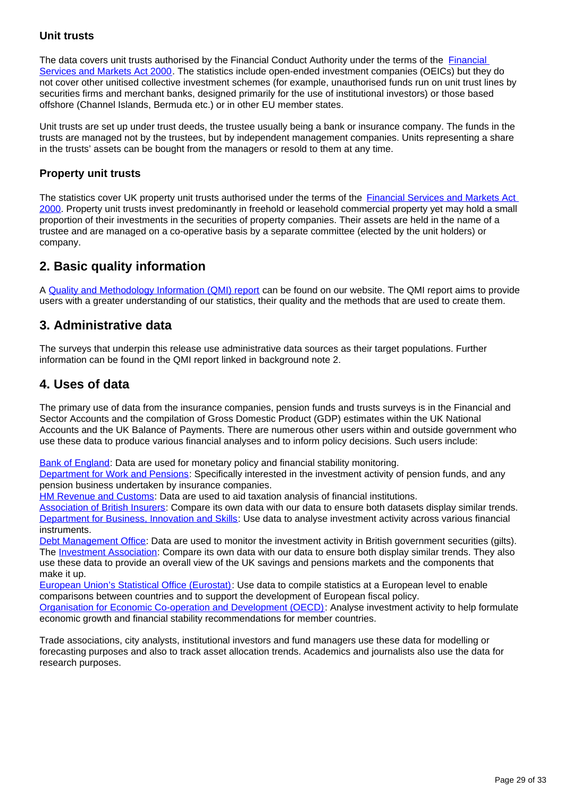### **Unit trusts**

The data covers unit trusts authorised by the [Financial](http://www.legislation.gov.uk/ukpga/2000/8/contents) Conduct Authority under the terms of the Financial [Services and Markets Act 2000.](http://www.legislation.gov.uk/ukpga/2000/8/contents) The statistics include open-ended investment companies (OEICs) but they do not cover other unitised collective investment schemes (for example, unauthorised funds run on unit trust lines by securities firms and merchant banks, designed primarily for the use of institutional investors) or those based offshore (Channel Islands, Bermuda etc.) or in other EU member states.

Unit trusts are set up under trust deeds, the trustee usually being a bank or insurance company. The funds in the trusts are managed not by the trustees, but by independent management companies. Units representing a share in the trusts' assets can be bought from the managers or resold to them at any time.

### **Property unit trusts**

The statistics cover UK property unit trusts authorised under the terms of the **Financial Services and Markets Act** [2000](http://www.legislation.gov.uk/ukpga/2000/8/contents). Property unit trusts invest predominantly in freehold or leasehold commercial property yet may hold a small proportion of their investments in the securities of property companies. Their assets are held in the name of a trustee and are managed on a co-operative basis by a separate committee (elected by the unit holders) or company.

## **2. Basic quality information**

A [Quality and Methodology Information \(QMI\) report](http://www.ons.gov.uk/economy/investmentspensionsandtrusts/qmis/mq5investmentbyinsurancecompaniespensionsfundsandtrustsqmi) can be found on our website. The QMI report aims to provide users with a greater understanding of our statistics, their quality and the methods that are used to create them.

## **3. Administrative data**

The surveys that underpin this release use administrative data sources as their target populations. Further information can be found in the QMI report linked in background note 2.

## **4. Uses of data**

The primary use of data from the insurance companies, pension funds and trusts surveys is in the Financial and Sector Accounts and the compilation of Gross Domestic Product (GDP) estimates within the UK National Accounts and the UK Balance of Payments. There are numerous other users within and outside government who use these data to produce various financial analyses and to inform policy decisions. Such users include:

[Bank of England](http://www.bankofengland.co.uk/about/pages/default.aspx): Data are used for monetary policy and financial stability monitoring.

[Department for Work and Pensions:](https://www.gov.uk/government/organisations/department-for-work-pensions) Specifically interested in the investment activity of pension funds, and any pension business undertaken by insurance companies.

[HM Revenue and Customs:](https://www.gov.uk/government/organisations/hm-revenue-customs) Data are used to aid taxation analysis of financial institutions.

[Association of British Insurers:](https://www.abi.org.uk/) Compare its own data with our data to ensure both datasets display similar trends. [Department for Business, Innovation and Skills](https://www.gov.uk/government/publications?publication_filter_option=research-and-analysis&departments%5B%5D=department-for-business-innovation-skills): Use data to analyse investment activity across various financial instruments.

[Debt Management Office](http://dmo.gov.uk/): Data are used to monitor the investment activity in British government securities (gilts). The [Investment Association](http://www.theinvestmentassociation.org/): Compare its own data with our data to ensure both display similar trends. They also use these data to provide an overall view of the UK savings and pensions markets and the components that make it up.

[European Union's Statistical Office \(Eurostat\):](http://ec.europa.eu/eurostat) Use data to compile statistics at a European level to enable comparisons between countries and to support the development of European fiscal policy.

[Organisation for Economic Co-operation and Development \(OECD\):](http://www.oecd.org/) Analyse investment activity to help formulate economic growth and financial stability recommendations for member countries.

Trade associations, city analysts, institutional investors and fund managers use these data for modelling or forecasting purposes and also to track asset allocation trends. Academics and journalists also use the data for research purposes.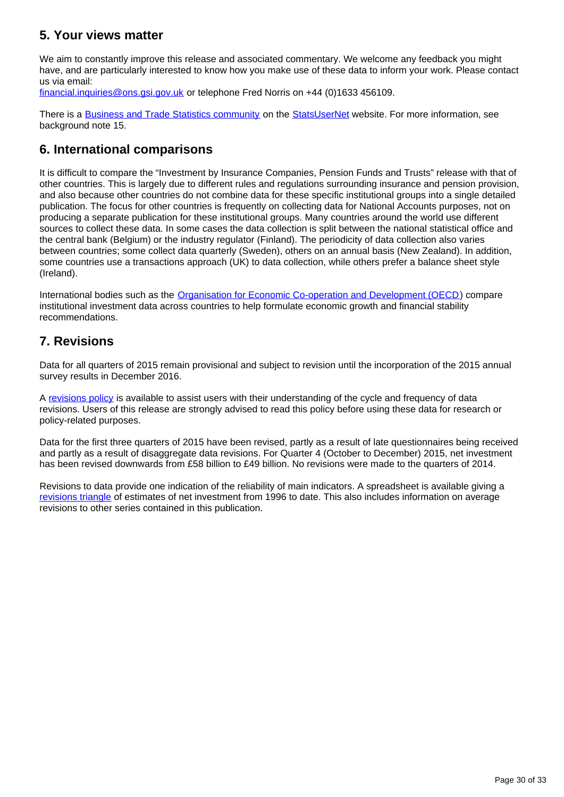## **5. Your views matter**

We aim to constantly improve this release and associated commentary. We welcome any feedback you might have, and are particularly interested to know how you make use of these data to inform your work. Please contact us via email:

financial.inquiries@ons.gsi.gov.uk or telephone Fred Norris on +44 (0)1633 456109.

There is a [Business and Trade Statistics community](http://www.statsusernet.org.uk/statsusernet/communities/viewcommunities/groupdetails?CommunityKey=36dd28ed-e10a-440e-b7fb-86650b746c43) on the [StatsUserNet](http://www.statsusernet.org.uk/Home/) website. For more information, see background note 15.

## **6. International comparisons**

It is difficult to compare the "Investment by Insurance Companies, Pension Funds and Trusts" release with that of other countries. This is largely due to different rules and regulations surrounding insurance and pension provision, and also because other countries do not combine data for these specific institutional groups into a single detailed publication. The focus for other countries is frequently on collecting data for National Accounts purposes, not on producing a separate publication for these institutional groups. Many countries around the world use different sources to collect these data. In some cases the data collection is split between the national statistical office and the central bank (Belgium) or the industry regulator (Finland). The periodicity of data collection also varies between countries; some collect data quarterly (Sweden), others on an annual basis (New Zealand). In addition, some countries use a transactions approach (UK) to data collection, while others prefer a balance sheet style (Ireland).

International bodies such as the [Organisation for Economic Co-operation and Development \(OECD\)](http://www.oecd.org/) compare institutional investment data across countries to help formulate economic growth and financial stability recommendations.

## **7. Revisions**

Data for all quarters of 2015 remain provisional and subject to revision until the incorporation of the 2015 annual survey results in December 2016.

A [revisions policy](http://www.ons.gov.uk/methodology/methodologytopicsandstatisticalconcepts/revisions/revisionspoliciesforeconomicstatistics) is available to assist users with their understanding of the cycle and frequency of data revisions. Users of this release are strongly advised to read this policy before using these data for research or policy-related purposes.

Data for the first three quarters of 2015 have been revised, partly as a result of late questionnaires being received and partly as a result of disaggregate data revisions. For Quarter 4 (October to December) 2015, net investment has been revised downwards from £58 billion to £49 billion. No revisions were made to the quarters of 2014.

Revisions to data provide one indication of the reliability of main indicators. A spreadsheet is available giving a [revisions triangle](http://www.ons.gov.uk/economy/investmentspensionsandtrusts/datasets/mq5investmentbyinsurancecompaniespensionfundsandtrustsrevisionstriangle) of estimates of net investment from 1996 to date. This also includes information on average revisions to other series contained in this publication.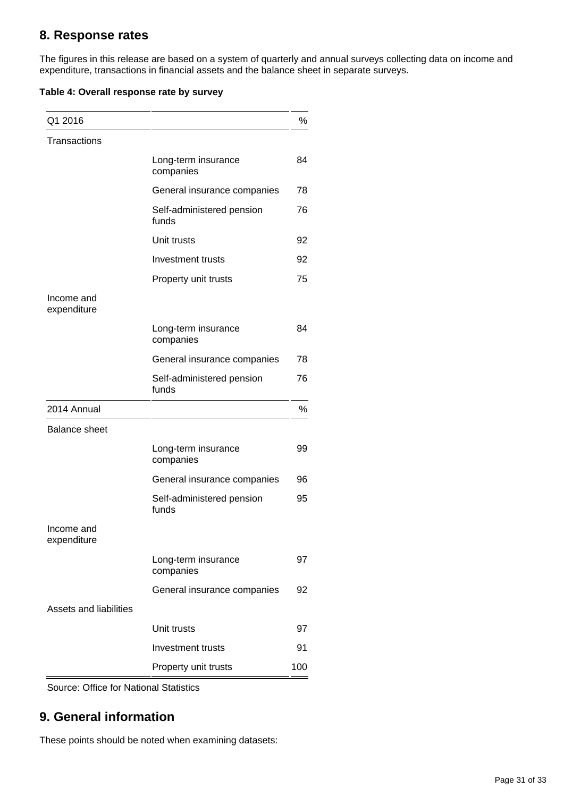## **8. Response rates**

The figures in this release are based on a system of quarterly and annual surveys collecting data on income and expenditure, transactions in financial assets and the balance sheet in separate surveys.

|  | Table 4: Overall response rate by survey |  |
|--|------------------------------------------|--|
|  |                                          |  |

| Q1 2016                   |                                    | %   |
|---------------------------|------------------------------------|-----|
| <b>Transactions</b>       |                                    |     |
|                           | Long-term insurance<br>companies   | 84  |
|                           | General insurance companies        | 78  |
|                           | Self-administered pension<br>funds | 76  |
|                           | Unit trusts                        | 92  |
|                           | Investment trusts                  | 92  |
|                           | Property unit trusts               | 75  |
| Income and<br>expenditure |                                    |     |
|                           | Long-term insurance<br>companies   | 84  |
|                           | General insurance companies        | 78  |
|                           | Self-administered pension<br>funds | 76  |
| 2014 Annual               |                                    | %   |
| <b>Balance sheet</b>      |                                    |     |
|                           | Long-term insurance<br>companies   | 99  |
|                           | General insurance companies        | 96  |
|                           | Self-administered pension<br>funds | 95  |
| Income and<br>expenditure |                                    |     |
|                           | Long-term insurance<br>companies   | 97  |
|                           | General insurance companies        | 92  |
| Assets and liabilities    |                                    |     |
|                           | Unit trusts                        | 97  |
|                           | Investment trusts                  | 91  |
|                           | Property unit trusts               | 100 |

Source: Office for National Statistics

## **9. General information**

These points should be noted when examining datasets: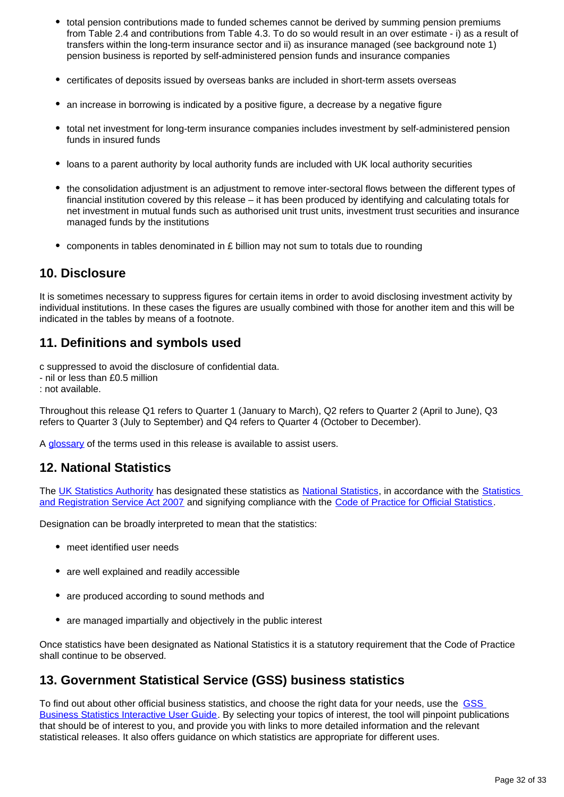- total pension contributions made to funded schemes cannot be derived by summing pension premiums from Table 2.4 and contributions from Table 4.3. To do so would result in an over estimate - i) as a result of transfers within the long-term insurance sector and ii) as insurance managed (see background note 1) pension business is reported by self-administered pension funds and insurance companies
- certificates of deposits issued by overseas banks are included in short-term assets overseas
- an increase in borrowing is indicated by a positive figure, a decrease by a negative figure
- total net investment for long-term insurance companies includes investment by self-administered pension funds in insured funds
- loans to a parent authority by local authority funds are included with UK local authority securities
- the consolidation adjustment is an adjustment to remove inter-sectoral flows between the different types of financial institution covered by this release – it has been produced by identifying and calculating totals for net investment in mutual funds such as authorised unit trust units, investment trust securities and insurance managed funds by the institutions
- components in tables denominated in  $E$  billion may not sum to totals due to rounding

### **10. Disclosure**

It is sometimes necessary to suppress figures for certain items in order to avoid disclosing investment activity by individual institutions. In these cases the figures are usually combined with those for another item and this will be indicated in the tables by means of a footnote.

## **11. Definitions and symbols used**

c suppressed to avoid the disclosure of confidential data.

- nil or less than £0.5 million
- : not available.

Throughout this release Q1 refers to Quarter 1 (January to March), Q2 refers to Quarter 2 (April to June), Q3 refers to Quarter 3 (July to September) and Q4 refers to Quarter 4 (October to December).

A [glossary](http://www.ons.gov.uk/ons/guide-method/method-quality/specific/economy/investment-by-insurance-companies/index.html) of the terms used in this release is available to assist users.

## **12. National Statistics**

The [UK Statistics Authority](https://www.statisticsauthority.gov.uk/) has designated these statistics as [National Statistics,](https://www.statisticsauthority.gov.uk/national-statistician/types-of-official-statistics/) in accordance with the [Statistics](https://www.statisticsauthority.gov.uk/about-the-authority/uk-statistical-system/legislation/key-legislative-documents/)  [and Registration Service Act 2007](https://www.statisticsauthority.gov.uk/about-the-authority/uk-statistical-system/legislation/key-legislative-documents/) and signifying compliance with the [Code of Practice for Official Statistics.](https://www.statisticsauthority.gov.uk/monitoring-and-assessment/code-of-practice/)

Designation can be broadly interpreted to mean that the statistics:

- meet identified user needs
- are well explained and readily accessible
- are produced according to sound methods and
- are managed impartially and objectively in the public interest

Once statistics have been designated as National Statistics it is a statutory requirement that the Code of Practice shall continue to be observed.

## **13. Government Statistical Service (GSS) business statistics**

To find out about other official business statistics, and choose the right data for your needs, use the GSS [Business Statistics Interactive User Guide.](http://neighbourhood.statistics.gov.uk/HTMLDocs/Interactive_Business_Stats/interactive_business_statistics_user_guide.html) By selecting your topics of interest, the tool will pinpoint publications that should be of interest to you, and provide you with links to more detailed information and the relevant statistical releases. It also offers guidance on which statistics are appropriate for different uses.